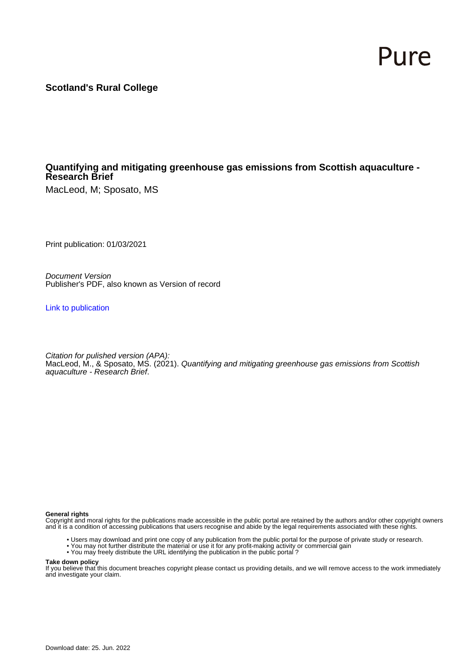# Pure

**Scotland's Rural College**

# **Quantifying and mitigating greenhouse gas emissions from Scottish aquaculture - Research Brief**

MacLeod, M; Sposato, MS

Print publication: 01/03/2021

Document Version Publisher's PDF, also known as Version of record

[Link to publication](https://pure.sruc.ac.uk/en/publications/e157d407-e1bb-4d97-ae8c-e6d61b92267c)

Citation for pulished version (APA): MacLeod, M., & Sposato, MS. (2021). Quantifying and mitigating greenhouse gas emissions from Scottish aquaculture - Research Brief.

#### **General rights**

Copyright and moral rights for the publications made accessible in the public portal are retained by the authors and/or other copyright owners and it is a condition of accessing publications that users recognise and abide by the legal requirements associated with these rights.

- Users may download and print one copy of any publication from the public portal for the purpose of private study or research.
- You may not further distribute the material or use it for any profit-making activity or commercial gain
- You may freely distribute the URL identifying the publication in the public portal ?

#### **Take down policy**

If you believe that this document breaches copyright please contact us providing details, and we will remove access to the work immediately and investigate your claim.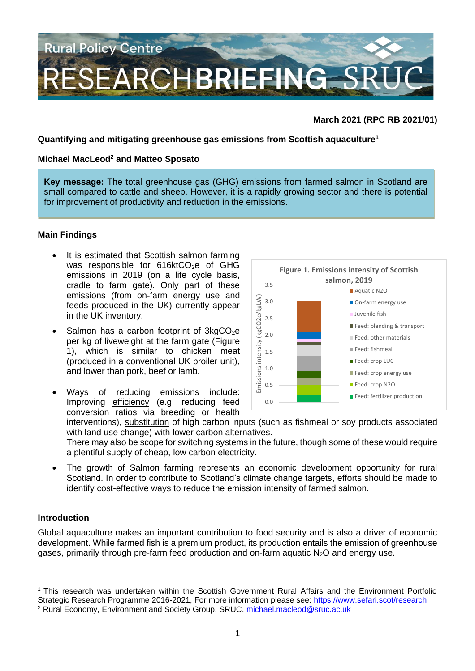

## **March 2021 (RPC RB 2021/01)**

#### **Quantifying and mitigating greenhouse gas emissions from Scottish aquaculture<sup>1</sup>**

#### **Michael MacLeod<sup>2</sup> and Matteo Sposato**

**Key message:** The total greenhouse gas (GHG) emissions from farmed salmon in Scotland are small compared to cattle and sheep. However, it is a rapidly growing sector and there is potential for improvement of productivity and reduction in the emissions.

## **Main Findings**

- It is estimated that Scottish salmon farming was responsible for 616ktCO<sub>2</sub>e of GHG emissions in 2019 (on a life cycle basis, cradle to farm gate). Only part of these emissions (from on-farm energy use and feeds produced in the UK) currently appear in the UK inventory.
- Salmon has a carbon footprint of  $3kgCO<sub>2</sub>e$ per kg of liveweight at the farm gate (Figure 1), which is similar to chicken meat (produced in a conventional UK broiler unit), and lower than pork, beef or lamb.
- Ways of reducing emissions include: Improving efficiency (e.g. reducing feed conversion ratios via breeding or health



interventions), substitution of high carbon inputs (such as fishmeal or soy products associated with land use change) with lower carbon alternatives.

There may also be scope for switching systems in the future, though some of these would require a plentiful supply of cheap, low carbon electricity.

The growth of Salmon farming represents an economic development opportunity for rural Scotland. In order to contribute to Scotland's climate change targets, efforts should be made to identify cost-effective ways to reduce the emission intensity of farmed salmon.

#### **Introduction**

Global aquaculture makes an important contribution to food security and is also a driver of economic development. While farmed fish is a premium product, its production entails the emission of greenhouse gases, primarily through pre-farm feed production and on-farm aquatic  $N_2O$  and energy use.

<sup>1</sup> This research was undertaken within the Scottish Government Rural Affairs and the Environment Portfolio Strategic Research Programme 2016-2021, For more information please see: <https://www.sefari.scot/research> <sup>2</sup> Rural Economy, Environment and Society Group, SRUC. [michael.macleod@sruc.ac.uk](mailto:Michael.macleod@sruc.ac.uk)